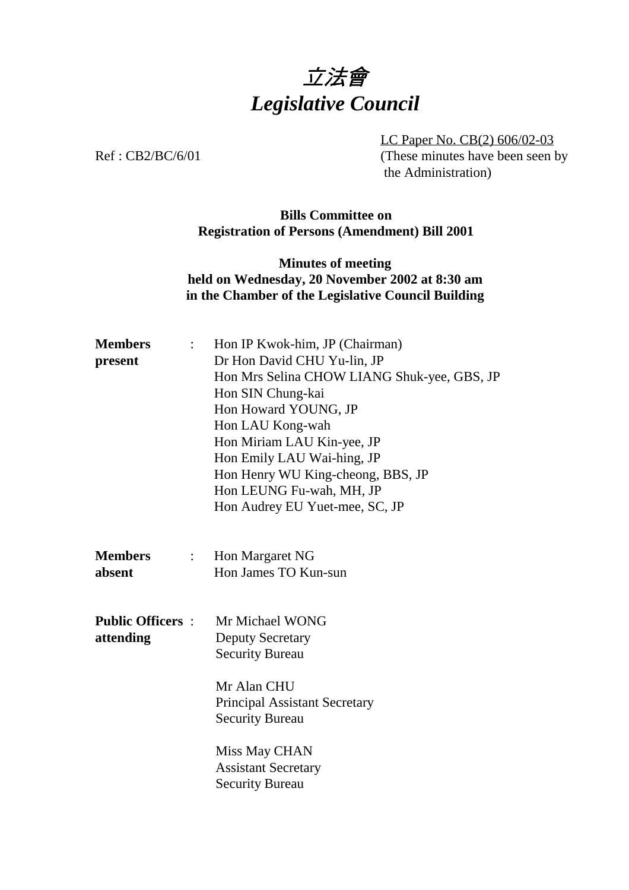# 立法會 *Legislative Council*

LC Paper No. CB(2) 606/02-03 Ref : CB2/BC/6/01 (These minutes have been seen by the Administration)

#### **Bills Committee on Registration of Persons (Amendment) Bill 2001**

### **Minutes of meeting held on Wednesday, 20 November 2002 at 8:30 am in the Chamber of the Legislative Council Building**

| <b>Members</b><br>$\mathbb{Z}^{\mathbb{Z}^{\times}}$ | Hon IP Kwok-him, JP (Chairman)              |
|------------------------------------------------------|---------------------------------------------|
| present                                              | Dr Hon David CHU Yu-lin, JP                 |
|                                                      | Hon Mrs Selina CHOW LIANG Shuk-yee, GBS, JP |
|                                                      | Hon SIN Chung-kai                           |
|                                                      | Hon Howard YOUNG, JP                        |
|                                                      | Hon LAU Kong-wah                            |
|                                                      | Hon Miriam LAU Kin-yee, JP                  |
|                                                      | Hon Emily LAU Wai-hing, JP                  |
|                                                      | Hon Henry WU King-cheong, BBS, JP           |
|                                                      | Hon LEUNG Fu-wah, MH, JP                    |
|                                                      | Hon Audrey EU Yuet-mee, SC, JP              |
|                                                      |                                             |
| <b>Members</b>                                       |                                             |
| $\mathbb{R}^{\mathbb{Z}}$<br>absent                  | Hon Margaret NG<br>Hon James TO Kun-sun     |
|                                                      |                                             |
|                                                      |                                             |
| <b>Public Officers:</b>                              | Mr Michael WONG                             |
| attending                                            | <b>Deputy Secretary</b>                     |
|                                                      | <b>Security Bureau</b>                      |
|                                                      | Mr Alan CHU                                 |
|                                                      | <b>Principal Assistant Secretary</b>        |
|                                                      | <b>Security Bureau</b>                      |
|                                                      |                                             |
|                                                      | Miss May CHAN                               |
|                                                      | <b>Assistant Secretary</b>                  |
|                                                      | <b>Security Bureau</b>                      |
|                                                      |                                             |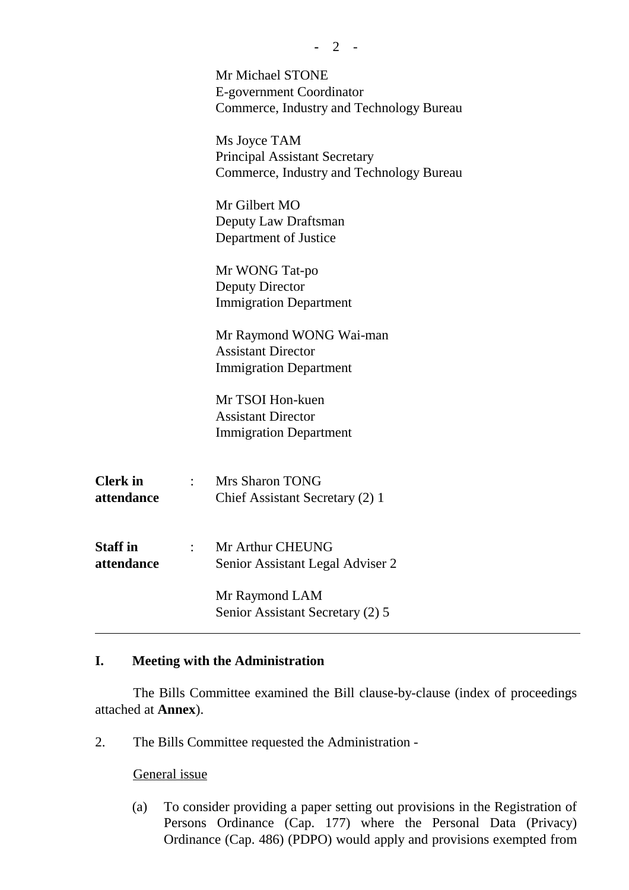|                               | Mr Michael STONE                                                                                 |
|-------------------------------|--------------------------------------------------------------------------------------------------|
|                               | E-government Coordinator<br>Commerce, Industry and Technology Bureau                             |
|                               | Ms Joyce TAM<br><b>Principal Assistant Secretary</b><br>Commerce, Industry and Technology Bureau |
|                               | Mr Gilbert MO<br>Deputy Law Draftsman<br>Department of Justice                                   |
|                               | Mr WONG Tat-po<br><b>Deputy Director</b><br><b>Immigration Department</b>                        |
|                               | Mr Raymond WONG Wai-man<br><b>Assistant Director</b><br><b>Immigration Department</b>            |
|                               | Mr TSOI Hon-kuen<br><b>Assistant Director</b><br><b>Immigration Department</b>                   |
| <b>Clerk</b> in<br>attendance | <b>Mrs Sharon TONG</b><br>Chief Assistant Secretary (2) 1                                        |
| <b>Staff</b> in<br>attendance | Mr Arthur CHEUNG<br>Senior Assistant Legal Adviser 2                                             |
|                               | Mr Raymond LAM<br>Senior Assistant Secretary (2) 5                                               |

#### **I. Meeting with the Administration**

The Bills Committee examined the Bill clause-by-clause (index of proceedings attached at **Annex**).

2. The Bills Committee requested the Administration -

#### General issue

(a) To consider providing a paper setting out provisions in the Registration of Persons Ordinance (Cap. 177) where the Personal Data (Privacy) Ordinance (Cap. 486) (PDPO) would apply and provisions exempted from

**-** 2 -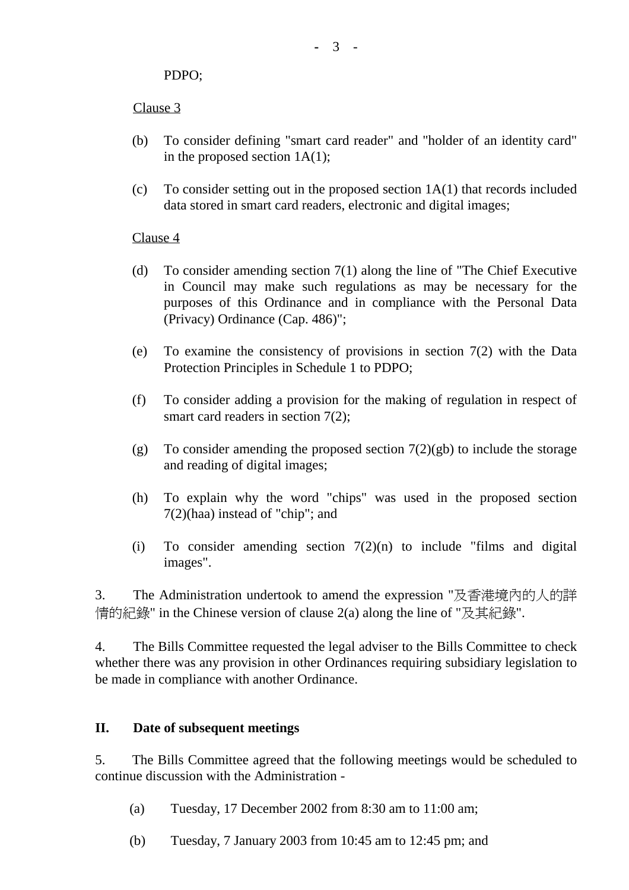#### PDPO;

#### Clause 3

- (b) To consider defining "smart card reader" and "holder of an identity card" in the proposed section 1A(1);
- (c) To consider setting out in the proposed section 1A(1) that records included data stored in smart card readers, electronic and digital images;

#### Clause 4

- (d) To consider amending section 7(1) along the line of "The Chief Executive in Council may make such regulations as may be necessary for the purposes of this Ordinance and in compliance with the Personal Data (Privacy) Ordinance (Cap. 486)";
- (e) To examine the consistency of provisions in section 7(2) with the Data Protection Principles in Schedule 1 to PDPO;
- (f) To consider adding a provision for the making of regulation in respect of smart card readers in section 7(2);
- (g) To consider amending the proposed section  $7(2)(gb)$  to include the storage and reading of digital images;
- (h) To explain why the word "chips" was used in the proposed section 7(2)(haa) instead of "chip"; and
- (i) To consider amending section  $7(2)(n)$  to include "films and digital images".

3. The Administration undertook to amend the expression "及香港境內的人的詳 情的紀錄" in the Chinese version of clause 2(a) along the line of "及其紀錄".

4. The Bills Committee requested the legal adviser to the Bills Committee to check whether there was any provision in other Ordinances requiring subsidiary legislation to be made in compliance with another Ordinance.

#### **II. Date of subsequent meetings**

5. The Bills Committee agreed that the following meetings would be scheduled to continue discussion with the Administration -

- (a) Tuesday, 17 December 2002 from 8:30 am to 11:00 am;
- (b) Tuesday, 7 January 2003 from 10:45 am to 12:45 pm; and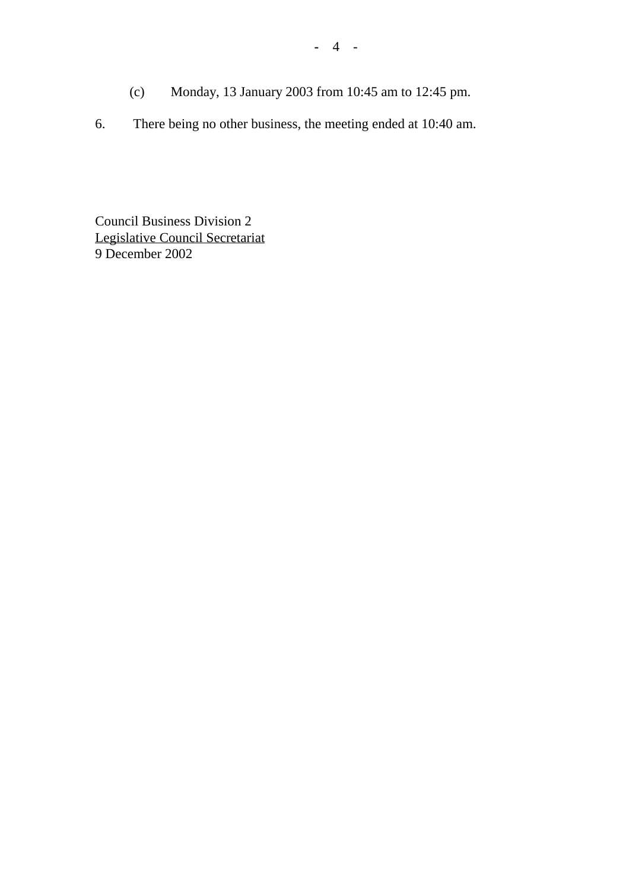- (c) Monday, 13 January 2003 from 10:45 am to 12:45 pm.
- 6. There being no other business, the meeting ended at 10:40 am.

Council Business Division 2 Legislative Council Secretariat 9 December 2002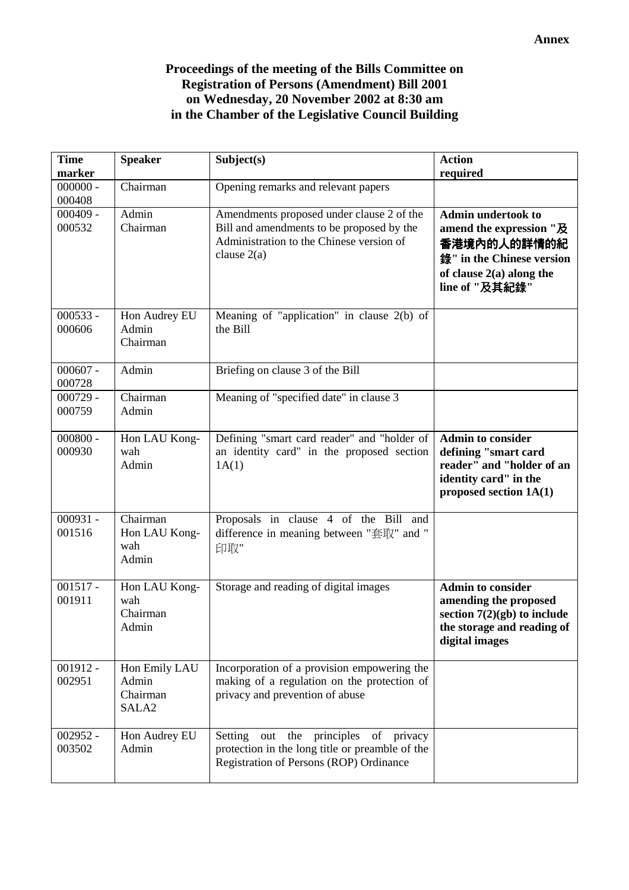#### **Proceedings of the meeting of the Bills Committee on Registration of Persons (Amendment) Bill 2001 on Wednesday, 20 November 2002 at 8:30 am in the Chamber of the Legislative Council Building**

| <b>Time</b><br>marker | <b>Speaker</b>                                          | Subject(s)                                                                                                                                          | <b>Action</b><br>required                                                                                                                        |
|-----------------------|---------------------------------------------------------|-----------------------------------------------------------------------------------------------------------------------------------------------------|--------------------------------------------------------------------------------------------------------------------------------------------------|
| $000000 -$<br>000408  | Chairman                                                | Opening remarks and relevant papers                                                                                                                 |                                                                                                                                                  |
| $000409 -$<br>000532  | Admin<br>Chairman                                       | Amendments proposed under clause 2 of the<br>Bill and amendments to be proposed by the<br>Administration to the Chinese version of<br>clause $2(a)$ | <b>Admin undertook to</b><br>amend the expression "及<br>香港境內的人的詳情的紀<br>錄" in the Chinese version<br>of clause $2(a)$ along the<br>line of "及其紀錄" |
| $000533 -$<br>000606  | Hon Audrey EU<br>Admin<br>Chairman                      | Meaning of "application" in clause $2(b)$ of<br>the Bill                                                                                            |                                                                                                                                                  |
| $000607 -$<br>000728  | Admin                                                   | Briefing on clause 3 of the Bill                                                                                                                    |                                                                                                                                                  |
| $000729 -$<br>000759  | Chairman<br>Admin                                       | Meaning of "specified date" in clause 3                                                                                                             |                                                                                                                                                  |
| $000800 -$<br>000930  | Hon LAU Kong-<br>wah<br>Admin                           | Defining "smart card reader" and "holder of<br>an identity card" in the proposed section<br>1A(1)                                                   | <b>Admin to consider</b><br>defining "smart card<br>reader" and "holder of an<br>identity card" in the<br>proposed section 1A(1)                 |
| $000931 -$<br>001516  | Chairman<br>Hon LAU Kong-<br>wah<br>Admin               | Proposals in clause 4 of the Bill and<br>difference in meaning between "套取" and "<br>印取"                                                            |                                                                                                                                                  |
| $001517 -$<br>001911  | Hon LAU Kong-<br>wah<br>Chairman<br>Admin               | Storage and reading of digital images                                                                                                               | <b>Admin to consider</b><br>amending the proposed<br>section $7(2)(gb)$ to include<br>the storage and reading of<br>digital images               |
| $001912 -$<br>002951  | Hon Emily LAU<br>Admin<br>Chairman<br>SALA <sub>2</sub> | Incorporation of a provision empowering the<br>making of a regulation on the protection of<br>privacy and prevention of abuse                       |                                                                                                                                                  |
| $002952 -$<br>003502  | Hon Audrey EU<br>Admin                                  | principles<br>Setting<br>out the<br>of<br>privacy<br>protection in the long title or preamble of the<br>Registration of Persons (ROP) Ordinance     |                                                                                                                                                  |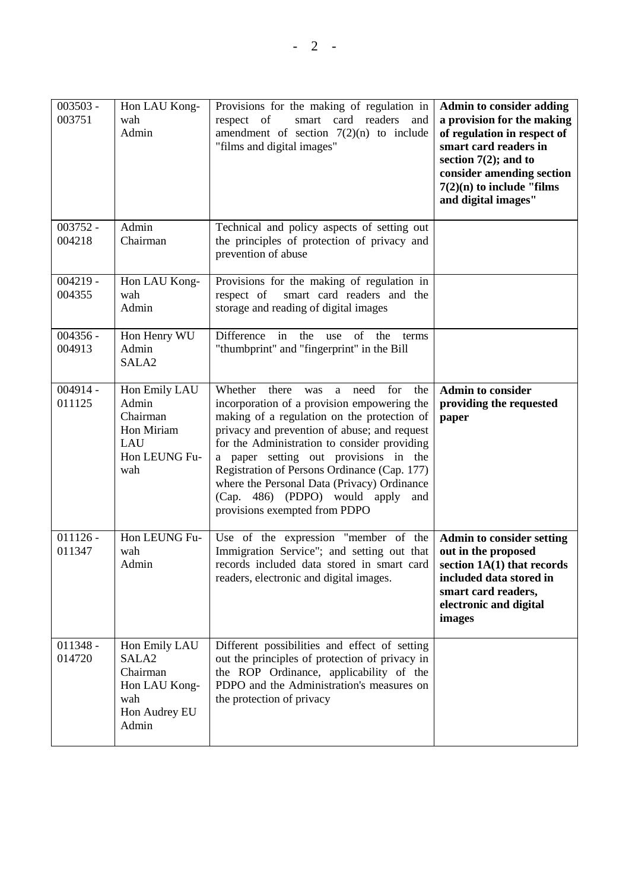| $003503 -$<br>003751 | Hon LAU Kong-<br>wah<br>Admin                                                                    | Provisions for the making of regulation in<br>respect of<br>smart card readers and<br>amendment of section $7(2)(n)$ to include<br>"films and digital images"                                                                                                                                                                                                                                                                                                     | <b>Admin to consider adding</b><br>a provision for the making<br>of regulation in respect of<br>smart card readers in<br>section $7(2)$ ; and to<br>consider amending section<br>$7(2)(n)$ to include "films"<br>and digital images" |
|----------------------|--------------------------------------------------------------------------------------------------|-------------------------------------------------------------------------------------------------------------------------------------------------------------------------------------------------------------------------------------------------------------------------------------------------------------------------------------------------------------------------------------------------------------------------------------------------------------------|--------------------------------------------------------------------------------------------------------------------------------------------------------------------------------------------------------------------------------------|
| $003752 -$<br>004218 | Admin<br>Chairman                                                                                | Technical and policy aspects of setting out<br>the principles of protection of privacy and<br>prevention of abuse                                                                                                                                                                                                                                                                                                                                                 |                                                                                                                                                                                                                                      |
| $004219 -$<br>004355 | Hon LAU Kong-<br>wah<br>Admin                                                                    | Provisions for the making of regulation in<br>smart card readers and the<br>respect of<br>storage and reading of digital images                                                                                                                                                                                                                                                                                                                                   |                                                                                                                                                                                                                                      |
| $004356 -$<br>004913 | Hon Henry WU<br>Admin<br>SALA <sub>2</sub>                                                       | Difference<br>of the<br>in<br>the<br>use<br>terms<br>"thumbprint" and "fingerprint" in the Bill                                                                                                                                                                                                                                                                                                                                                                   |                                                                                                                                                                                                                                      |
| $004914 -$<br>011125 | Hon Emily LAU<br>Admin<br>Chairman<br>Hon Miriam<br><b>LAU</b><br>Hon LEUNG Fu-<br>wah           | Whether<br>there<br>for<br>the<br>need<br>was<br>a<br>incorporation of a provision empowering the<br>making of a regulation on the protection of<br>privacy and prevention of abuse; and request<br>for the Administration to consider providing<br>a paper setting out provisions in the<br>Registration of Persons Ordinance (Cap. 177)<br>where the Personal Data (Privacy) Ordinance<br>(Cap. 486) (PDPO) would apply<br>and<br>provisions exempted from PDPO | <b>Admin to consider</b><br>providing the requested<br>paper                                                                                                                                                                         |
| $011126 -$<br>011347 | Hon LEUNG Fu-<br>wah<br>Admin                                                                    | Use of the expression "member of the<br>Immigration Service"; and setting out that<br>records included data stored in smart card<br>readers, electronic and digital images.                                                                                                                                                                                                                                                                                       | <b>Admin to consider setting</b><br>out in the proposed<br>section 1A(1) that records<br>included data stored in<br>smart card readers,<br>electronic and digital<br>images                                                          |
| $011348 -$<br>014720 | Hon Emily LAU<br>SALA <sub>2</sub><br>Chairman<br>Hon LAU Kong-<br>wah<br>Hon Audrey EU<br>Admin | Different possibilities and effect of setting<br>out the principles of protection of privacy in<br>the ROP Ordinance, applicability of the<br>PDPO and the Administration's measures on<br>the protection of privacy                                                                                                                                                                                                                                              |                                                                                                                                                                                                                                      |